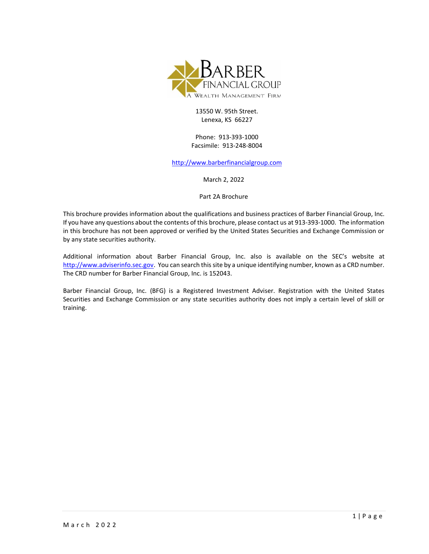

## 13550 W. 95th Street. Lenexa, KS 66227

Phone: 913-393-1000 Facsimile: 913-248-8004

[http://www.barberfinancialgroup.com](http://www.barberfinancialgroup.com/)

March 2, 2022

Part 2A Brochure

This brochure provides information about the qualifications and business practices of Barber Financial Group, Inc. If you have any questions about the contents of this brochure, please contact us at 913-393-1000. The information in this brochure has not been approved or verified by the United States Securities and Exchange Commission or by any state securities authority.

Additional information about Barber Financial Group, Inc. also is available on the SEC's website at [http://www.adviserinfo.sec.gov.](http://www.adviserinfo.sec.gov/) You can search this site by a unique identifying number, known as a CRD number. The CRD number for Barber Financial Group, Inc. is 152043.

Barber Financial Group, Inc. (BFG) is a Registered Investment Adviser. Registration with the United States Securities and Exchange Commission or any state securities authority does not imply a certain level of skill or training.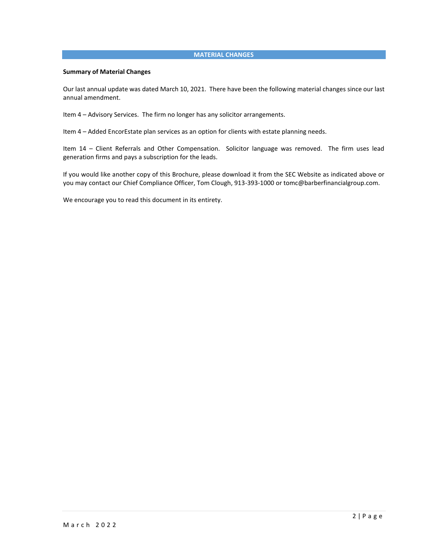## **MATERIAL CHANGES**

#### **Summary of Material Changes**

Our last annual update was dated March 10, 2021. There have been the following material changes since our last annual amendment.

Item 4 – Advisory Services. The firm no longer has any solicitor arrangements.

Item 4 – Added EncorEstate plan services as an option for clients with estate planning needs.

Item 14 – Client Referrals and Other Compensation. Solicitor language was removed. The firm uses lead generation firms and pays a subscription for the leads.

If you would like another copy of this Brochure, please download it from the SEC Website as indicated above or you may contact our Chief Compliance Officer, Tom Clough, 913-393-1000 or tomc@barberfinancialgroup.com.

We encourage you to read this document in its entirety.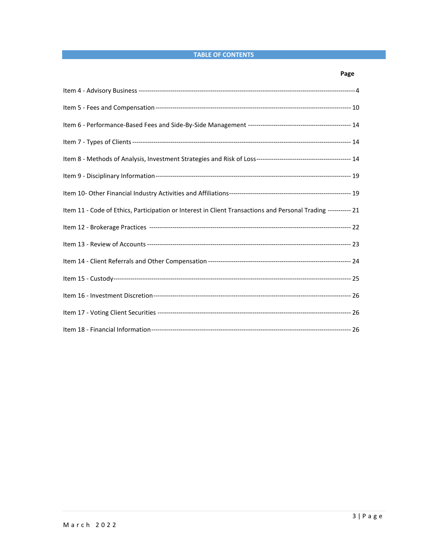# **TABLE OF CONTENTS**

# **Page**

| Item 11 - Code of Ethics, Participation or Interest in Client Transactions and Personal Trading ----------- 21 |  |
|----------------------------------------------------------------------------------------------------------------|--|
|                                                                                                                |  |
|                                                                                                                |  |
|                                                                                                                |  |
|                                                                                                                |  |
|                                                                                                                |  |
|                                                                                                                |  |
|                                                                                                                |  |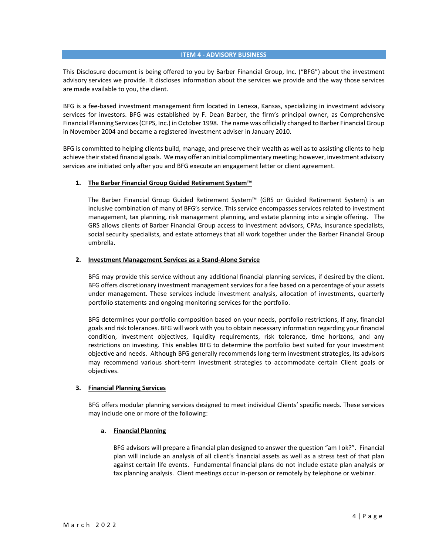#### **ITEM 4 - ADVISORY BUSINESS**

This Disclosure document is being offered to you by Barber Financial Group, Inc. ("BFG") about the investment advisory services we provide. It discloses information about the services we provide and the way those services are made available to you, the client.

BFG is a fee-based investment management firm located in Lenexa, Kansas, specializing in investment advisory services for investors. BFG was established by F. Dean Barber, the firm's principal owner, as Comprehensive Financial Planning Services (CFPS, Inc.) in October 1998. The name was officially changed to Barber Financial Group in November 2004 and became a registered investment adviser in January 2010.

BFG is committed to helping clients build, manage, and preserve their wealth as well as to assisting clients to help achieve their stated financial goals. We may offer an initial complimentary meeting; however, investment advisory services are initiated only after you and BFG execute an engagement letter or client agreement.

#### **1. The Barber Financial Group Guided Retirement System™**

The Barber Financial Group Guided Retirement System™ (GRS or Guided Retirement System) is an inclusive combination of many of BFG's service. This service encompasses services related to investment management, tax planning, risk management planning, and estate planning into a single offering. The GRS allows clients of Barber Financial Group access to investment advisors, CPAs, insurance specialists, social security specialists, and estate attorneys that all work together under the Barber Financial Group umbrella.

#### **2. Investment Management Services as a Stand-Alone Service**

BFG may provide this service without any additional financial planning services, if desired by the client. BFG offers discretionary investment management services for a fee based on a percentage of your assets under management. These services include investment analysis, allocation of investments, quarterly portfolio statements and ongoing monitoring services for the portfolio.

BFG determines your portfolio composition based on your needs, portfolio restrictions, if any, financial goals and risk tolerances. BFG will work with you to obtain necessary information regarding your financial condition, investment objectives, liquidity requirements, risk tolerance, time horizons, and any restrictions on investing. This enables BFG to determine the portfolio best suited for your investment objective and needs. Although BFG generally recommends long-term investment strategies, its advisors may recommend various short-term investment strategies to accommodate certain Client goals or objectives.

#### **3. Financial Planning Services**

BFG offers modular planning services designed to meet individual Clients' specific needs. These services may include one or more of the following:

### **a. Financial Planning**

BFG advisors will prepare a financial plan designed to answer the question "am I ok?". Financial plan will include an analysis of all client's financial assets as well as a stress test of that plan against certain life events. Fundamental financial plans do not include estate plan analysis or tax planning analysis. Client meetings occur in-person or remotely by telephone or webinar.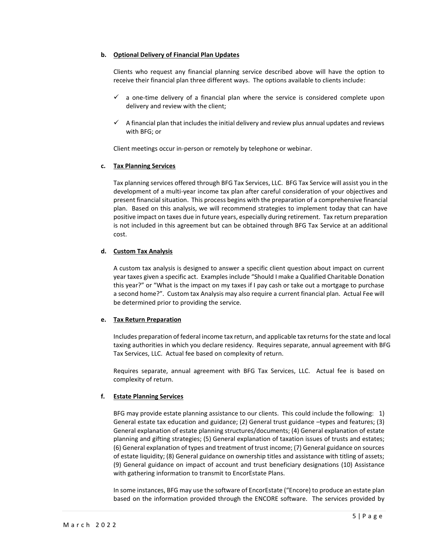### **b. Optional Delivery of Financial Plan Updates**

Clients who request any financial planning service described above will have the option to receive their financial plan three different ways. The options available to clients include:

- $\checkmark$  a one-time delivery of a financial plan where the service is considered complete upon delivery and review with the client;
- $\checkmark$  A financial plan that includes the initial delivery and review plus annual updates and reviews with BFG; or

Client meetings occur in-person or remotely by telephone or webinar.

## **c. Tax Planning Services**

Tax planning services offered through BFG Tax Services, LLC. BFG Tax Service will assist you in the development of a multi-year income tax plan after careful consideration of your objectives and present financial situation. This process begins with the preparation of a comprehensive financial plan. Based on this analysis, we will recommend strategies to implement today that can have positive impact on taxes due in future years, especially during retirement. Tax return preparation is not included in this agreement but can be obtained through BFG Tax Service at an additional cost.

## **d. Custom Tax Analysis**

A custom tax analysis is designed to answer a specific client question about impact on current year taxes given a specific act. Examples include "Should I make a Qualified Charitable Donation this year?" or "What is the impact on my taxes if I pay cash or take out a mortgage to purchase a second home?". Custom tax Analysis may also require a current financial plan. Actual Fee will be determined prior to providing the service.

## **e. Tax Return Preparation**

Includes preparation of federal income tax return, and applicable tax returns for the state and local taxing authorities in which you declare residency. Requires separate, annual agreement with BFG Tax Services, LLC. Actual fee based on complexity of return.

Requires separate, annual agreement with BFG Tax Services, LLC. Actual fee is based on complexity of return.

## **f. Estate Planning Services**

BFG may provide estate planning assistance to our clients. This could include the following: 1) General estate tax education and guidance; (2) General trust guidance –types and features; (3) General explanation of estate planning structures/documents; (4) General explanation of estate planning and gifting strategies; (5) General explanation of taxation issues of trusts and estates; (6) General explanation of types and treatment of trust income; (7) General guidance on sources of estate liquidity; (8) General guidance on ownership titles and assistance with titling of assets; (9) General guidance on impact of account and trust beneficiary designations (10) Assistance with gathering information to transmit to EncorEstate Plans.

In some instances, BFG may use the software of EncorEstate ("Encore) to produce an estate plan based on the information provided through the ENCORE software. The services provided by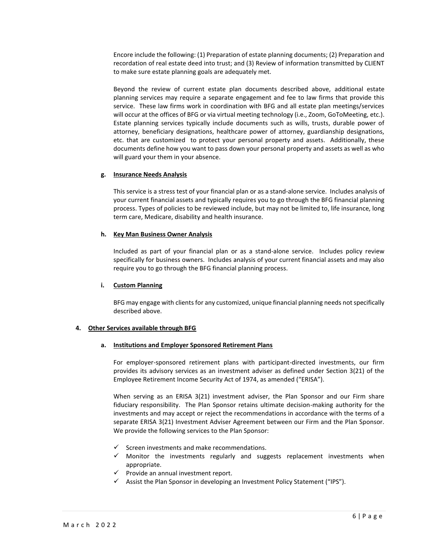Encore include the following: (1) Preparation of estate planning documents; (2) Preparation and recordation of real estate deed into trust; and (3) Review of information transmitted by CLIENT to make sure estate planning goals are adequately met.

Beyond the review of current estate plan documents described above, additional estate planning services may require a separate engagement and fee to law firms that provide this service. These law firms work in coordination with BFG and all estate plan meetings/services will occur at the offices of BFG or via virtual meeting technology (i.e., Zoom, GoToMeeting, etc.). Estate planning services typically include documents such as wills, trusts, durable power of attorney, beneficiary designations, healthcare power of attorney, guardianship designations, etc. that are customized to protect your personal property and assets. Additionally, these documents define how you want to pass down your personal property and assets as well as who will guard your them in your absence.

#### **g. Insurance Needs Analysis**

This service is a stress test of your financial plan or as a stand-alone service. Includes analysis of your current financial assets and typically requires you to go through the BFG financial planning process. Types of policies to be reviewed include, but may not be limited to, life insurance, long term care, Medicare, disability and health insurance.

#### **h. Key Man Business Owner Analysis**

Included as part of your financial plan or as a stand-alone service. Includes policy review specifically for business owners. Includes analysis of your current financial assets and may also require you to go through the BFG financial planning process.

#### **i. Custom Planning**

BFG may engage with clients for any customized, unique financial planning needs not specifically described above.

#### **4. Other Services available through BFG**

#### **a. Institutions and Employer Sponsored Retirement Plans**

For employer-sponsored retirement plans with participant-directed investments, our firm provides its advisory services as an investment adviser as defined under Section 3(21) of the Employee Retirement Income Security Act of 1974, as amended ("ERISA").

When serving as an ERISA 3(21) investment adviser, the Plan Sponsor and our Firm share fiduciary responsibility. The Plan Sponsor retains ultimate decision-making authority for the investments and may accept or reject the recommendations in accordance with the terms of a separate ERISA 3(21) Investment Adviser Agreement between our Firm and the Plan Sponsor. We provide the following services to the Plan Sponsor:

- $\checkmark$  Screen investments and make recommendations.
- ✓ Monitor the investments regularly and suggests replacement investments when appropriate.
- ✓ Provide an annual investment report.
- $\checkmark$  Assist the Plan Sponsor in developing an Investment Policy Statement ("IPS").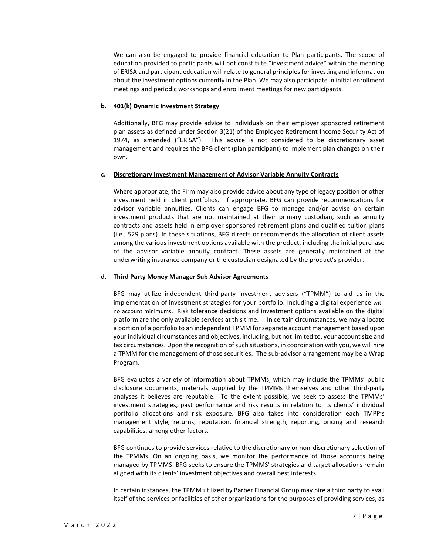We can also be engaged to provide financial education to Plan participants. The scope of education provided to participants will not constitute "investment advice" within the meaning of ERISA and participant education will relate to general principles for investing and information about the investment options currently in the Plan. We may also participate in initial enrollment meetings and periodic workshops and enrollment meetings for new participants.

## **b. 401(k) Dynamic Investment Strategy**

Additionally, BFG may provide advice to individuals on their employer sponsored retirement plan assets as defined under Section 3(21) of the Employee Retirement Income Security Act of 1974, as amended ("ERISA"). This advice is not considered to be discretionary asset management and requires the BFG client (plan participant) to implement plan changes on their own.

### **c. Discretionary Investment Management of Advisor Variable Annuity Contracts**

Where appropriate, the Firm may also provide advice about any type of legacy position or other investment held in client portfolios. If appropriate, BFG can provide recommendations for advisor variable annuities. Clients can engage BFG to manage and/or advise on certain investment products that are not maintained at their primary custodian, such as annuity contracts and assets held in employer sponsored retirement plans and qualified tuition plans (i.e., 529 plans). In these situations, BFG directs or recommends the allocation of client assets among the various investment options available with the product, including the initial purchase of the advisor variable annuity contract. These assets are generally maintained at the underwriting insurance company or the custodian designated by the product's provider.

### **d. Third Party Money Manager Sub Advisor Agreements**

BFG may utilize independent third-party investment advisers ("TPMM") to aid us in the implementation of investment strategies for your portfolio. Including a digital experience with no account minimums. Risk tolerance decisions and investment options available on the digital platform are the only available services at this time. In certain circumstances, we may allocate a portion of a portfolio to an independent TPMM for separate account management based upon your individual circumstances and objectives, including, but not limited to, your account size and tax circumstances. Upon the recognition of such situations, in coordination with you, we will hire a TPMM for the management of those securities. The sub-advisor arrangement may be a Wrap Program.

BFG evaluates a variety of information about TPMMs, which may include the TPMMs' public disclosure documents, materials supplied by the TPMMs themselves and other third-party analyses it believes are reputable. To the extent possible, we seek to assess the TPMMs' investment strategies, past performance and risk results in relation to its clients' individual portfolio allocations and risk exposure. BFG also takes into consideration each TMPP's management style, returns, reputation, financial strength, reporting, pricing and research capabilities, among other factors.

BFG continues to provide services relative to the discretionary or non-discretionary selection of the TPMMs. On an ongoing basis, we monitor the performance of those accounts being managed by TPMMS. BFG seeks to ensure the TPMMS' strategies and target allocations remain aligned with its clients' investment objectives and overall best interests.

In certain instances, the TPMM utilized by Barber Financial Group may hire a third party to avail itself of the services or facilities of other organizations for the purposes of providing services, as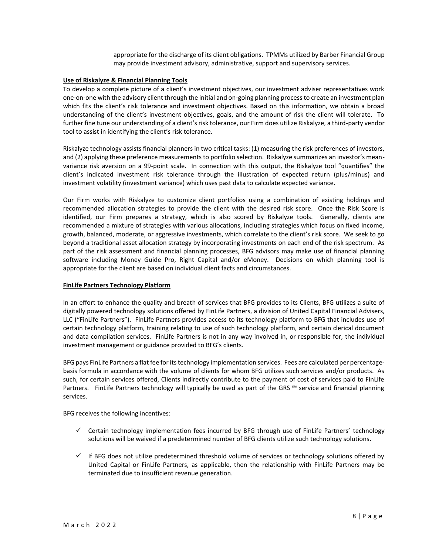appropriate for the discharge of its client obligations. TPMMs utilized by Barber Financial Group may provide investment advisory, administrative, support and supervisory services.

#### **Use of Riskalyze & Financial Planning Tools**

To develop a complete picture of a client's investment objectives, our investment adviser representatives work one-on-one with the advisory client through the initial and on-going planning process to create an investment plan which fits the client's risk tolerance and investment objectives. Based on this information, we obtain a broad understanding of the client's investment objectives, goals, and the amount of risk the client will tolerate. To further fine tune our understanding of a client's risk tolerance, our Firm does utilize Riskalyze, a third-party vendor tool to assist in identifying the client's risk tolerance.

Riskalyze technology assists financial planners in two critical tasks: (1) measuring the risk preferences of investors, and (2) applying these preference measurements to portfolio selection. Riskalyze summarizes an investor's meanvariance risk aversion on a 99-point scale. In connection with this output, the Riskalyze tool "quantifies" the client's indicated investment risk tolerance through the illustration of expected return (plus/minus) and investment volatility (investment variance) which uses past data to calculate expected variance.

Our Firm works with Riskalyze to customize client portfolios using a combination of existing holdings and recommended allocation strategies to provide the client with the desired risk score. Once the Risk Score is identified, our Firm prepares a strategy, which is also scored by Riskalyze tools. Generally, clients are recommended a mixture of strategies with various allocations, including strategies which focus on fixed income, growth, balanced, moderate, or aggressive investments, which correlate to the client's risk score. We seek to go beyond a traditional asset allocation strategy by incorporating investments on each end of the risk spectrum. As part of the risk assessment and financial planning processes, BFG advisors may make use of financial planning software including Money Guide Pro, Right Capital and/or eMoney. Decisions on which planning tool is appropriate for the client are based on individual client facts and circumstances.

#### **FinLife Partners Technology Platform**

In an effort to enhance the quality and breath of services that BFG provides to its Clients, BFG utilizes a suite of digitally powered technology solutions offered by FinLife Partners, a division of United Capital Financial Advisers, LLC ("FinLife Partners"). FinLife Partners provides access to its technology platform to BFG that includes use of certain technology platform, training relating to use of such technology platform, and certain clerical document and data compilation services. FinLife Partners is not in any way involved in, or responsible for, the individual investment management or guidance provided to BFG's clients.

BFG pays FinLife Partners a flat fee for its technology implementation services. Fees are calculated per percentage‐ basis formula in accordance with the volume of clients for whom BFG utilizes such services and/or products. As such, for certain services offered, Clients indirectly contribute to the payment of cost of services paid to FinLife Partners. FinLife Partners technology will typically be used as part of the GRS <sup>sM</sup> service and financial planning services.

BFG receives the following incentives:

- ✓ Certain technology implementation fees incurred by BFG through use of FinLife Partners' technology solutions will be waived if a predetermined number of BFG clients utilize such technology solutions.
- $\checkmark$  If BFG does not utilize predetermined threshold volume of services or technology solutions offered by United Capital or FinLife Partners, as applicable, then the relationship with FinLife Partners may be terminated due to insufficient revenue generation.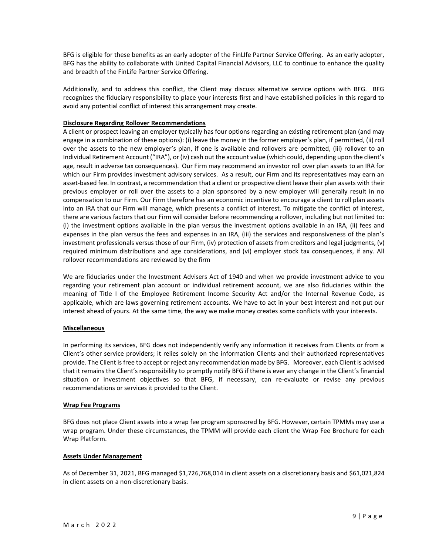BFG is eligible for these benefits as an early adopter of the FinLIfe Partner Service Offering. As an early adopter, BFG has the ability to collaborate with United Capital Financial Advisors, LLC to continue to enhance the quality and breadth of the FinLife Partner Service Offering.

Additionally, and to address this conflict, the Client may discuss alternative service options with BFG. BFG recognizes the fiduciary responsibility to place your interests first and have established policies in this regard to avoid any potential conflict of interest this arrangement may create.

## **Disclosure Regarding Rollover Recommendations**

A client or prospect leaving an employer typically has four options regarding an existing retirement plan (and may engage in a combination of these options): (i) leave the money in the former employer's plan, if permitted, (ii) roll over the assets to the new employer's plan, if one is available and rollovers are permitted, (iii) rollover to an Individual Retirement Account ("IRA"), or (iv) cash out the account value (which could, depending upon the client's age, result in adverse tax consequences). Our Firm may recommend an investor roll over plan assets to an IRA for which our Firm provides investment advisory services. As a result, our Firm and its representatives may earn an asset-based fee. In contrast, a recommendation that a client or prospective client leave their plan assets with their previous employer or roll over the assets to a plan sponsored by a new employer will generally result in no compensation to our Firm. Our Firm therefore has an economic incentive to encourage a client to roll plan assets into an IRA that our Firm will manage, which presents a conflict of interest. To mitigate the conflict of interest, there are various factors that our Firm will consider before recommending a rollover, including but not limited to: (i) the investment options available in the plan versus the investment options available in an IRA, (ii) fees and expenses in the plan versus the fees and expenses in an IRA, (iii) the services and responsiveness of the plan's investment professionals versus those of our Firm, (iv) protection of assets from creditors and legal judgments, (v) required minimum distributions and age considerations, and (vi) employer stock tax consequences, if any. All rollover recommendations are reviewed by the firm

We are fiduciaries under the Investment Advisers Act of 1940 and when we provide investment advice to you regarding your retirement plan account or individual retirement account, we are also fiduciaries within the meaning of Title I of the Employee Retirement Income Security Act and/or the Internal Revenue Code, as applicable, which are laws governing retirement accounts. We have to act in your best interest and not put our interest ahead of yours. At the same time, the way we make money creates some conflicts with your interests.

## **Miscellaneous**

In performing its services, BFG does not independently verify any information it receives from Clients or from a Client's other service providers; it relies solely on the information Clients and their authorized representatives provide. The Client is free to accept or reject any recommendation made by BFG. Moreover, each Client is advised that it remains the Client's responsibility to promptly notify BFG if there is ever any change in the Client's financial situation or investment objectives so that BFG, if necessary, can re-evaluate or revise any previous recommendations or services it provided to the Client.

## **Wrap Fee Programs**

BFG does not place Client assets into a wrap fee program sponsored by BFG. However, certain TPMMs may use a wrap program. Under these circumstances, the TPMM will provide each client the Wrap Fee Brochure for each Wrap Platform.

## **Assets Under Management**

As of December 31, 2021, BFG managed \$1,726,768,014 in client assets on a discretionary basis and \$61,021,824 in client assets on a non-discretionary basis.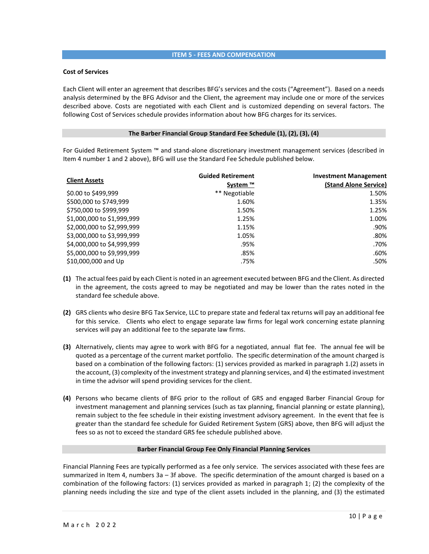### **ITEM 5 - FEES AND COMPENSATION**

#### **Cost of Services**

Each Client will enter an agreement that describes BFG's services and the costs ("Agreement"). Based on a needs analysis determined by the BFG Advisor and the Client, the agreement may include one or more of the services described above. Costs are negotiated with each Client and is customized depending on several factors. The following Cost of Services schedule provides information about how BFG charges for its services.

## **The Barber Financial Group Standard Fee Schedule (1), (2), (3), (4)**

For Guided Retirement System ™ and stand-alone discretionary investment management services (described in Item 4 number 1 and 2 above), BFG will use the Standard Fee Schedule published below.

| <b>Client Assets</b>       | <b>Guided Retirement</b><br>System ™ | <b>Investment Management</b><br>(Stand Alone Service) |
|----------------------------|--------------------------------------|-------------------------------------------------------|
| \$0.00 to \$499,999        | ** Negotiable                        | 1.50%                                                 |
| \$500,000 to \$749,999     | 1.60%                                | 1.35%                                                 |
| \$750,000 to \$999,999     | 1.50%                                | 1.25%                                                 |
| \$1,000,000 to \$1,999,999 | 1.25%                                | 1.00%                                                 |
| \$2,000,000 to \$2,999,999 | 1.15%                                | .90%                                                  |
| \$3,000,000 to \$3,999,999 | 1.05%                                | .80%                                                  |
| \$4,000,000 to \$4,999,999 | .95%                                 | .70%                                                  |
| \$5,000,000 to \$9,999,999 | .85%                                 | .60%                                                  |
| \$10,000,000 and Up        | .75%                                 | .50%                                                  |

- **(1)** The actual fees paid by each Client is noted in an agreement executed between BFG and the Client. As directed in the agreement, the costs agreed to may be negotiated and may be lower than the rates noted in the standard fee schedule above.
- **(2)** GRS clients who desire BFG Tax Service, LLC to prepare state and federal tax returns will pay an additional fee for this service. Clients who elect to engage separate law firms for legal work concerning estate planning services will pay an additional fee to the separate law firms.
- **(3)** Alternatively, clients may agree to work with BFG for a negotiated, annual flat fee. The annual fee will be quoted as a percentage of the current market portfolio. The specific determination of the amount charged is based on a combination of the following factors: (1) services provided as marked in paragraph 1.(2) assets in the account, (3) complexity of the investment strategy and planning services, and 4) the estimated investment in time the advisor will spend providing services for the client.
- **(4)** Persons who became clients of BFG prior to the rollout of GRS and engaged Barber Financial Group for investment management and planning services (such as tax planning, financial planning or estate planning), remain subject to the fee schedule in their existing investment advisory agreement. In the event that fee is greater than the standard fee schedule for Guided Retirement System (GRS) above, then BFG will adjust the fees so as not to exceed the standard GRS fee schedule published above.

#### **Barber Financial Group Fee Only Financial Planning Services**

Financial Planning Fees are typically performed as a fee only service. The services associated with these fees are summarized in Item 4, numbers 3a – 3f above. The specific determination of the amount charged is based on a combination of the following factors: (1) services provided as marked in paragraph 1; (2) the complexity of the planning needs including the size and type of the client assets included in the planning, and (3) the estimated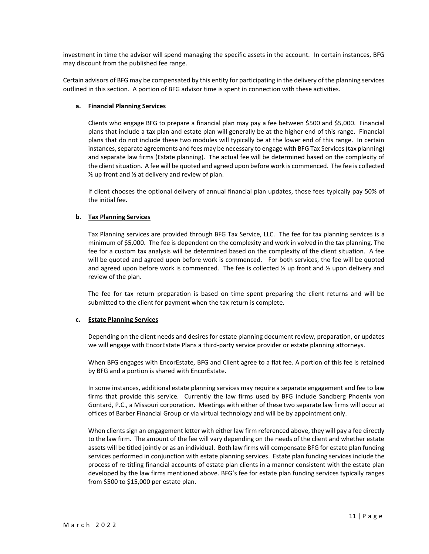investment in time the advisor will spend managing the specific assets in the account. In certain instances, BFG may discount from the published fee range.

Certain advisors of BFG may be compensated by this entity for participating in the delivery of the planning services outlined in this section. A portion of BFG advisor time is spent in connection with these activities.

### **a. Financial Planning Services**

Clients who engage BFG to prepare a financial plan may pay a fee between \$500 and \$5,000. Financial plans that include a tax plan and estate plan will generally be at the higher end of this range. Financial plans that do not include these two modules will typically be at the lower end of this range. In certain instances, separate agreements and fees may be necessary to engage with BFG Tax Services (tax planning) and separate law firms (Estate planning). The actual fee will be determined based on the complexity of the client situation. A fee will be quoted and agreed upon before work is commenced. The fee is collected  $\frac{1}{2}$  up front and  $\frac{1}{2}$  at delivery and review of plan.

If client chooses the optional delivery of annual financial plan updates, those fees typically pay 50% of the initial fee.

### **b. Tax Planning Services**

Tax Planning services are provided through BFG Tax Service, LLC. The fee for tax planning services is a minimum of \$5,000. The fee is dependent on the complexity and work in volved in the tax planning. The fee for a custom tax analysis will be determined based on the complexity of the client situation. A fee will be quoted and agreed upon before work is commenced. For both services, the fee will be quoted and agreed upon before work is commenced. The fee is collected  $\frac{1}{2}$  up front and  $\frac{1}{2}$  upon delivery and review of the plan.

The fee for tax return preparation is based on time spent preparing the client returns and will be submitted to the client for payment when the tax return is complete.

#### **c. Estate Planning Services**

Depending on the client needs and desires for estate planning document review, preparation, or updates we will engage with EncorEstate Plans a third-party service provider or estate planning attorneys.

When BFG engages with EncorEstate, BFG and Client agree to a flat fee. A portion of this fee is retained by BFG and a portion is shared with EncorEstate.

In some instances, additional estate planning services may require a separate engagement and fee to law firms that provide this service. Currently the law firms used by BFG include Sandberg Phoenix von Gontard, P.C., a Missouri corporation. Meetings with either of these two separate law firms will occur at offices of Barber Financial Group or via virtual technology and will be by appointment only.

When clients sign an engagement letter with either law firm referenced above, they will pay a fee directly to the law firm. The amount of the fee will vary depending on the needs of the client and whether estate assets will be titled jointly or as an individual. Both law firms will compensate BFG for estate plan funding services performed in conjunction with estate planning services. Estate plan funding services include the process of re-titling financial accounts of estate plan clients in a manner consistent with the estate plan developed by the law firms mentioned above. BFG's fee for estate plan funding services typically ranges from \$500 to \$15,000 per estate plan.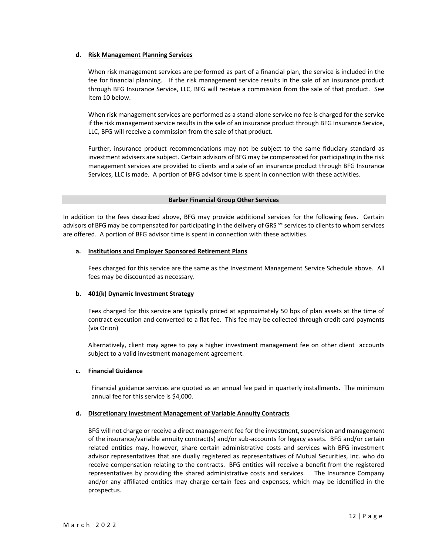#### **d. Risk Management Planning Services**

When risk management services are performed as part of a financial plan, the service is included in the fee for financial planning. If the risk management service results in the sale of an insurance product through BFG Insurance Service, LLC, BFG will receive a commission from the sale of that product. See Item 10 below.

When risk management services are performed as a stand-alone service no fee is charged for the service if the risk management service results in the sale of an insurance product through BFG Insurance Service, LLC, BFG will receive a commission from the sale of that product.

Further, insurance product recommendations may not be subject to the same fiduciary standard as investment advisers are subject. Certain advisors of BFG may be compensated for participating in the risk management services are provided to clients and a sale of an insurance product through BFG Insurance Services, LLC is made. A portion of BFG advisor time is spent in connection with these activities.

### **Barber Financial Group Other Services**

In addition to the fees described above, BFG may provide additional services for the following fees. Certain advisors of BFG may be compensated for participating in the delivery of GRS <sup>5M</sup> services to clients to whom services are offered. A portion of BFG advisor time is spent in connection with these activities.

### **a. Institutions and Employer Sponsored Retirement Plans**

Fees charged for this service are the same as the Investment Management Service Schedule above. All fees may be discounted as necessary.

## **b. 401(k) Dynamic Investment Strategy**

Fees charged for this service are typically priced at approximately 50 bps of plan assets at the time of contract execution and converted to a flat fee. This fee may be collected through credit card payments (via Orion)

Alternatively, client may agree to pay a higher investment management fee on other client accounts subject to a valid investment management agreement.

## **c. Financial Guidance**

Financial guidance services are quoted as an annual fee paid in quarterly installments. The minimum annual fee for this service is \$4,000.

## **d. Discretionary Investment Management of Variable Annuity Contracts**

BFG will not charge or receive a direct management fee for the investment, supervision and management of the insurance/variable annuity contract(s) and/or sub-accounts for legacy assets. BFG and/or certain related entities may, however, share certain administrative costs and services with BFG investment advisor representatives that are dually registered as representatives of Mutual Securities, Inc. who do receive compensation relating to the contracts. BFG entities will receive a benefit from the registered representatives by providing the shared administrative costs and services. The Insurance Company and/or any affiliated entities may charge certain fees and expenses, which may be identified in the prospectus.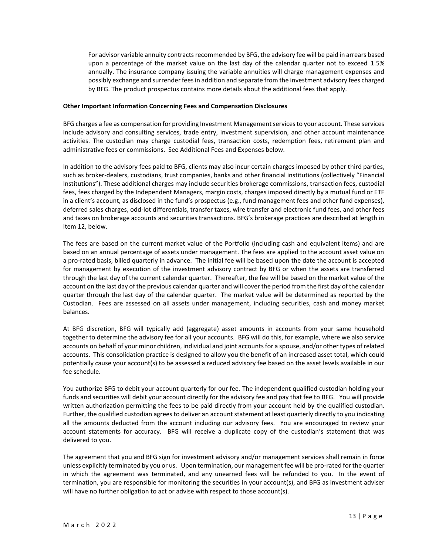For advisor variable annuity contracts recommended by BFG, the advisory fee will be paid in arrears based upon a percentage of the market value on the last day of the calendar quarter not to exceed 1.5% annually. The insurance company issuing the variable annuities will charge management expenses and possibly exchange and surrender fees in addition and separate from the investment advisory fees charged by BFG. The product prospectus contains more details about the additional fees that apply.

### **Other Important Information Concerning Fees and Compensation Disclosures**

BFG charges a fee as compensation for providing Investment Management services to your account. These services include advisory and consulting services, trade entry, investment supervision, and other account maintenance activities. The custodian may charge custodial fees, transaction costs, redemption fees, retirement plan and administrative fees or commissions. See Additional Fees and Expenses below.

In addition to the advisory fees paid to BFG, clients may also incur certain charges imposed by other third parties, such as broker-dealers, custodians, trust companies, banks and other financial institutions (collectively "Financial Institutions"). These additional charges may include securities brokerage commissions, transaction fees, custodial fees, fees charged by the Independent Managers, margin costs, charges imposed directly by a mutual fund or ETF in a client's account, as disclosed in the fund's prospectus (e.g., fund management fees and other fund expenses), deferred sales charges, odd-lot differentials, transfer taxes, wire transfer and electronic fund fees, and other fees and taxes on brokerage accounts and securities transactions. BFG's brokerage practices are described at length in Item 12, below.

The fees are based on the current market value of the Portfolio (including cash and equivalent items) and are based on an annual percentage of assets under management. The fees are applied to the account asset value on a pro-rated basis, billed quarterly in advance. The initial fee will be based upon the date the account is accepted for management by execution of the investment advisory contract by BFG or when the assets are transferred through the last day of the current calendar quarter. Thereafter, the fee will be based on the market value of the account on the last day of the previous calendar quarter and will cover the period from the first day of the calendar quarter through the last day of the calendar quarter. The market value will be determined as reported by the Custodian. Fees are assessed on all assets under management, including securities, cash and money market balances.

At BFG discretion, BFG will typically add (aggregate) asset amounts in accounts from your same household together to determine the advisory fee for all your accounts. BFG will do this, for example, where we also service accounts on behalf of your minor children, individual and joint accounts for a spouse, and/or other types of related accounts. This consolidation practice is designed to allow you the benefit of an increased asset total, which could potentially cause your account(s) to be assessed a reduced advisory fee based on the asset levels available in our fee schedule.

You authorize BFG to debit your account quarterly for our fee. The independent qualified custodian holding your funds and securities will debit your account directly for the advisory fee and pay that fee to BFG. You will provide written authorization permitting the fees to be paid directly from your account held by the qualified custodian. Further, the qualified custodian agrees to deliver an account statement at least quarterly directly to you indicating all the amounts deducted from the account including our advisory fees. You are encouraged to review your account statements for accuracy. BFG will receive a duplicate copy of the custodian's statement that was delivered to you.

The agreement that you and BFG sign for investment advisory and/or management services shall remain in force unless explicitly terminated by you or us. Upon termination, our management fee will be pro-rated for the quarter in which the agreement was terminated, and any unearned fees will be refunded to you. In the event of termination, you are responsible for monitoring the securities in your account(s), and BFG as investment adviser will have no further obligation to act or advise with respect to those account(s).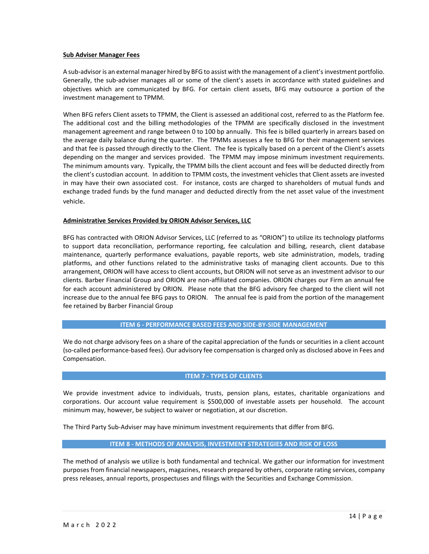#### **Sub Adviser Manager Fees**

A sub-advisoris an external manager hired by BFG to assist with the management of a client's investment portfolio. Generally, the sub-adviser manages all or some of the client's assets in accordance with stated guidelines and objectives which are communicated by BFG. For certain client assets, BFG may outsource a portion of the investment management to TPMM.

When BFG refers Client assets to TPMM, the Client is assessed an additional cost, referred to as the Platform fee. The additional cost and the billing methodologies of the TPMM are specifically disclosed in the investment management agreement and range between 0 to 100 bp annually. This fee is billed quarterly in arrears based on the average daily balance during the quarter. The TPMMs assesses a fee to BFG for their management services and that fee is passed through directly to the Client. The fee is typically based on a percent of the Client's assets depending on the manger and services provided. The TPMM may impose minimum investment requirements. The minimum amounts vary. Typically, the TPMM bills the client account and fees will be deducted directly from the client's custodian account. In addition to TPMM costs, the investment vehicles that Client assets are invested in may have their own associated cost. For instance, costs are charged to shareholders of mutual funds and exchange traded funds by the fund manager and deducted directly from the net asset value of the investment vehicle.

#### **Administrative Services Provided by ORION Advisor Services, LLC**

BFG has contracted with ORION Advisor Services, LLC (referred to as "ORION") to utilize its technology platforms to support data reconciliation, performance reporting, fee calculation and billing, research, client database maintenance, quarterly performance evaluations, payable reports, web site administration, models, trading platforms, and other functions related to the administrative tasks of managing client accounts. Due to this arrangement, ORION will have access to client accounts, but ORION will not serve as an investment advisor to our clients. Barber Financial Group and ORION are non-affiliated companies. ORION charges our Firm an annual fee for each account administered by ORION. Please note that the BFG advisory fee charged to the client will not increase due to the annual fee BFG pays to ORION. The annual fee is paid from the portion of the management fee retained by Barber Financial Group

#### **ITEM 6 - PERFORMANCE BASED FEES AND SIDE-BY-SIDE MANAGEMENT**

We do not charge advisory fees on a share of the capital appreciation of the funds or securities in a client account (so-called performance-based fees). Our advisory fee compensation is charged only as disclosed above in Fees and Compensation.

#### **ITEM 7 - TYPES OF CLIENTS**

We provide investment advice to individuals, trusts, pension plans, estates, charitable organizations and corporations. Our account value requirement is \$500,000 of investable assets per household. The account minimum may, however, be subject to waiver or negotiation, at our discretion.

The Third Party Sub-Adviser may have minimum investment requirements that differ from BFG.

#### **ITEM 8 - METHODS OF ANALYSIS, INVESTMENT STRATEGIES AND RISK OF LOSS**

The method of analysis we utilize is both fundamental and technical. We gather our information for investment purposes from financial newspapers, magazines, research prepared by others, corporate rating services, company press releases, annual reports, prospectuses and filings with the Securities and Exchange Commission.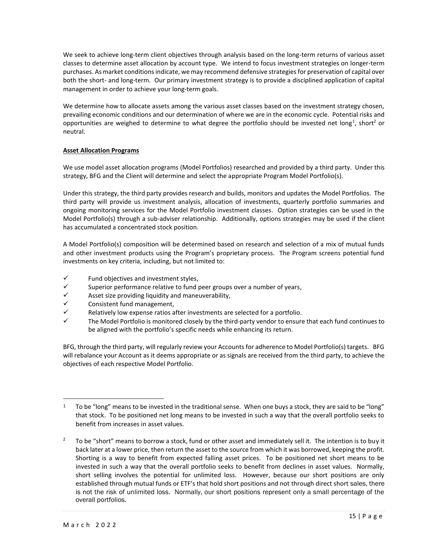We seek to achieve long-term client objectives through analysis based on the long-term returns of various asset classes to determine asset allocation by account type. We intend to focus investment strategies on longer-term purchases. As market conditions indicate, we may recommend defensive strategies for preservation of capital over both the short- and long-term. Our primary investment strategy is to provide a disciplined application of capital management in order to achieve your long-term goals.

We determine how to allocate assets among the various asset classes based on the investment strategy chosen, prevailing economic conditions and our determination of where we are in the economic cycle. Potential risks and opportunities are weighed to determine to what degree the portfolio should be invested net long<sup>1</sup>, short<sup>2</sup> or neutral.

## **Asset Allocation Programs**

We use model asset allocation programs (Model Portfolios) researched and provided by a third party. Under this strategy, BFG and the Client will determine and select the appropriate Program Model Portfolio(s).

Under this strategy, the third party provides research and builds, monitors and updates the Model Portfolios. The third party will provide us investment analysis, allocation of investments, quarterly portfolio summaries and ongoing monitoring services for the Model Portfolio investment classes. Option strategies can be used in the Model Portfolio(s) through a sub-adviser relationship. Additionally, options strategies may be used if the client has accumulated a concentrated stock position.

A Model Portfolio(s) composition will be determined based on research and selection of a mix of mutual funds and other investment products using the Program's proprietary process. The Program screens potential fund investments on key criteria, including, but not limited to:

- $\checkmark$  Fund objectives and investment styles,
- $\checkmark$  Superior performance relative to fund peer groups over a number of years,
- $\checkmark$  Asset size providing liquidity and maneuverability,<br> $\checkmark$  Consistent fund management
- ✓ Consistent fund management,
- Relatively low expense ratios after investments are selected for a portfolio.
- The Model Portfolio is monitored closely by the third-party vendor to ensure that each fund continues to be aligned with the portfolio's specific needs while enhancing its return.

BFG, through the third party, will regularly review your Accounts for adherence to Model Portfolio(s) targets. BFG will rebalance your Account as it deems appropriate or as signals are received from the third party, to achieve the objectives of each respective Model Portfolio.

 $1$  To be "long" means to be invested in the traditional sense. When one buys a stock, they are said to be "long" that stock. To be positioned net long means to be invested in such a way that the overall portfolio seeks to benefit from increases in asset values.

<sup>&</sup>lt;sup>2</sup> To be "short" means to borrow a stock, fund or other asset and immediately sell it. The intention is to buy it back later at a lower price, then return the asset to the source from which it was borrowed, keeping the profit. Shorting is a way to benefit from expected falling asset prices. To be positioned net short means to be invested in such a way that the overall portfolio seeks to benefit from declines in asset values. Normally, short selling involves the potential for unlimited loss. However, because our short positions are only established through mutual funds or ETF's that hold short positions and not through direct short sales, there is not the risk of unlimited loss. Normally, our short positions represent only a small percentage of the overall portfolios.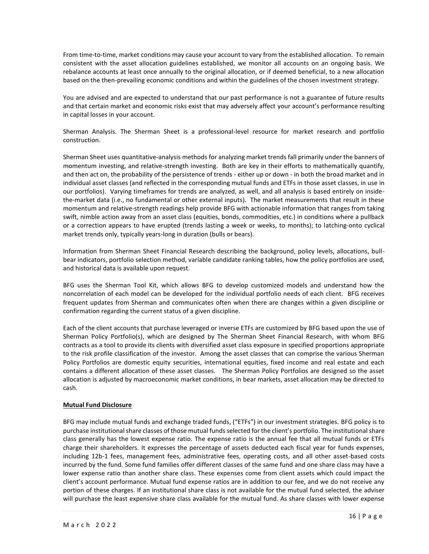From time-to-time, market conditions may cause your account to vary from the established allocation. To remain consistent with the asset allocation guidelines established, we monitor all accounts on an ongoing basis. We rebalance accounts at least once annually to the original allocation, or if deemed beneficial, to a new allocation based on the then-prevailing economic conditions and within the guidelines of the chosen investment strategy.

You are advised and are expected to understand that our past performance is not a guarantee of future results and that certain market and economic risks exist that may adversely affect your account's performance resulting in capital losses in your account.

Sherman Analysis. The Sherman Sheet is a professional-level resource for market research and portfolio construction.

Sherman Sheet uses quantitative-analysis methods for analyzing market trends fall primarily under the banners of momentum investing, and relative-strength investing. Both are key in their efforts to mathematically quantify, and then act on, the probability of the persistence of trends - either up or down - in both the broad market and in individual asset classes (and reflected in the corresponding mutual funds and ETFs in those asset classes, in use in our portfolios). Varying timeframes for trends are analyzed, as well, and all analysis is based entirely on insidethe-market data (i.e., no fundamental or other external inputs). The market measurements that result in these momentum and relative-strength readings help provide BFG with actionable information that ranges from taking swift, nimble action away from an asset class (equities, bonds, commodities, etc.) in conditions where a pullback or a correction appears to have erupted (trends lasting a week or weeks, to months); to latching-onto cyclical market trends only, typically years-long in duration (bulls or bears).

Information from Sherman Sheet Financial Research describing the background, policy levels, allocations, bullbear indicators, portfolio selection method, variable candidate ranking tables, how the policy portfolios are used, and historical data is available upon request.

BFG uses the Sherman Tool Kit, which allows BFG to develop customized models and understand how the noncorrelation of each model can be developed for the individual portfolio needs of each client. BFG receives frequent updates from Sherman and communicates often when there are changes within a given discipline or confirmation regarding the current status of a given discipline.

Each of the client accounts that purchase leveraged or inverse ETFs are customized by BFG based upon the use of Sherman Policy Portfolio(s), which are designed by The Sherman Sheet Financial Research, with whom BFG contracts as a tool to provide its clients with diversified asset class exposure in specified proportions appropriate to the risk profile classification of the investor. Among the asset classes that can comprise the various Sherman Policy Portfolios are domestic equity securities, international equities, fixed income and real estate and each contains a different allocation of these asset classes. The Sherman Policy Portfolios are designed so the asset allocation is adjusted by macroeconomic market conditions, in bear markets, asset allocation may be directed to cash.

## **Mutual Fund Disclosure**

BFG may include mutual funds and exchange traded funds, ("ETFs") in our investment strategies. BFG policy is to purchase institutional share classes of those mutual funds selected for the client's portfolio. The institutional share class generally has the lowest expense ratio. The expense ratio is the annual fee that all mutual funds or ETFs charge their shareholders. It expresses the percentage of assets deducted each fiscal year for funds expenses, including 12b-1 fees, management fees, administrative fees, operating costs, and all other asset-based costs incurred by the fund. Some fund families offer different classes of the same fund and one share class may have a lower expense ratio than another share class. These expenses come from client assets which could impact the client's account performance. Mutual fund expense ratios are in addition to our fee, and we do not receive any portion of these charges. If an institutional share class is not available for the mutual fund selected, the adviser will purchase the least expensive share class available for the mutual fund. As share classes with lower expense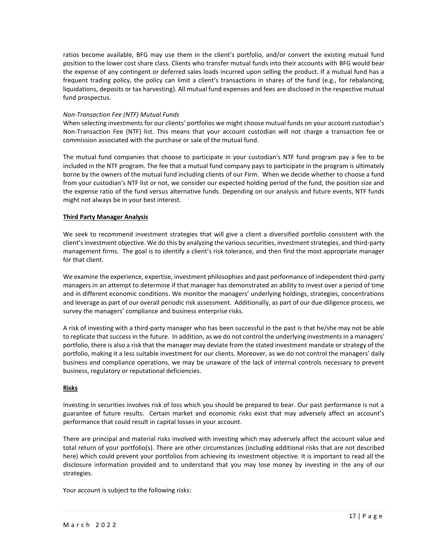ratios become available, BFG may use them in the client's portfolio, and/or convert the existing mutual fund position to the lower cost share class. Clients who transfer mutual funds into their accounts with BFG would bear the expense of any contingent or deferred sales loads incurred upon selling the product. If a mutual fund has a frequent trading policy, the policy can limit a client's transactions in shares of the fund (e.g., for rebalancing, liquidations, deposits or tax harvesting). All mutual fund expenses and fees are disclosed in the respective mutual fund prospectus.

### *Non-Transaction Fee (NTF) Mutual Funds*

When selecting investments for our clients' portfolios we might choose mutual funds on your account custodian's Non-Transaction Fee (NTF) list. This means that your account custodian will not charge a transaction fee or commission associated with the purchase or sale of the mutual fund.

The mutual fund companies that choose to participate in your custodian's NTF fund program pay a fee to be included in the NTF program. The fee that a mutual fund company pays to participate in the program is ultimately borne by the owners of the mutual fund including clients of our Firm. When we decide whether to choose a fund from your custodian's NTF list or not, we consider our expected holding period of the fund, the position size and the expense ratio of the fund versus alternative funds. Depending on our analysis and future events, NTF funds might not always be in your best interest.

### **Third Party Manager Analysis**

We seek to recommend investment strategies that will give a client a diversified portfolio consistent with the client's investment objective. We do this by analyzing the various securities, investment strategies, and third-party management firms. The goal is to identify a client's risk tolerance, and then find the most appropriate manager for that client.

We examine the experience, expertise, investment philosophies and past performance of independent third-party managers in an attempt to determine if that manager has demonstrated an ability to invest over a period of time and in different economic conditions. We monitor the managers' underlying holdings, strategies, concentrations and leverage as part of our overall periodic risk assessment. Additionally, as part of our due-diligence process, we survey the managers' compliance and business enterprise risks.

A risk of investing with a third-party manager who has been successful in the past is that he/she may not be able to replicate that success in the future. In addition, as we do not control the underlying investments in a managers' portfolio, there is also a risk that the manager may deviate from the stated investment mandate or strategy of the portfolio, making it a less suitable investment for our clients. Moreover, as we do not control the managers' daily business and compliance operations, we may be unaware of the lack of internal controls necessary to prevent business, regulatory or reputational deficiencies.

#### **Risks**

Investing in securities involves risk of loss which you should be prepared to bear. Our past performance is not a guarantee of future results. Certain market and economic risks exist that may adversely affect an account's performance that could result in capital losses in your account.

There are principal and material risks involved with investing which may adversely affect the account value and total return of your portfolio(s). There are other circumstances (including additional risks that are not described here) which could prevent your portfolios from achieving its investment objective. It is important to read all the disclosure information provided and to understand that you may lose money by investing in the any of our strategies.

Your account is subject to the following risks: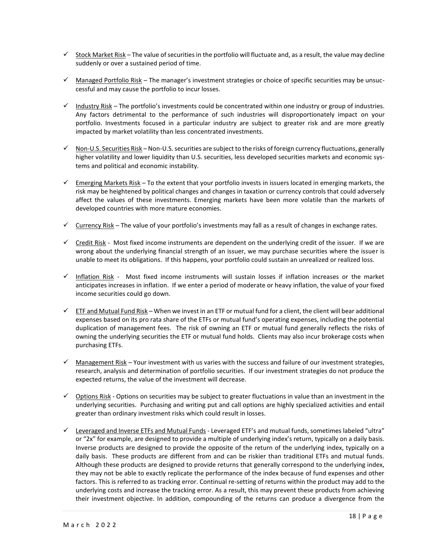- $\checkmark$  Stock Market Risk The value of securities in the portfolio will fluctuate and, as a result, the value may decline suddenly or over a sustained period of time.
- ✓ Managed Portfolio Risk The manager's investment strategies or choice of specific securities may be unsuccessful and may cause the portfolio to incur losses.
- ✓ Industry Risk The portfolio's investments could be concentrated within one industry or group of industries. Any factors detrimental to the performance of such industries will disproportionately impact on your portfolio. Investments focused in a particular industry are subject to greater risk and are more greatly impacted by market volatility than less concentrated investments.
- $\checkmark$  Non-U.S. Securities Risk Non-U.S. securities are subject to the risks of foreign currency fluctuations, generally higher volatility and lower liquidity than U.S. securities, less developed securities markets and economic systems and political and economic instability.
- $\checkmark$  Emerging Markets Risk To the extent that your portfolio invests in issuers located in emerging markets, the risk may be heightened by political changes and changes in taxation or currency controls that could adversely affect the values of these investments. Emerging markets have been more volatile than the markets of developed countries with more mature economies.
- $\checkmark$  Currency Risk The value of your portfolio's investments may fall as a result of changes in exchange rates.
- ✓ Credit Risk Most fixed income instruments are dependent on the underlying credit of the issuer. If we are wrong about the underlying financial strength of an issuer, we may purchase securities where the issuer is unable to meet its obligations. If this happens, your portfolio could sustain an unrealized or realized loss.
- ✓ Inflation Risk Most fixed income instruments will sustain losses if inflation increases or the market anticipates increases in inflation. If we enter a period of moderate or heavy inflation, the value of your fixed income securities could go down.
- $\checkmark$  ETF and Mutual Fund Risk When we invest in an ETF or mutual fund for a client, the client will bear additional expenses based on its pro rata share of the ETFs or mutual fund's operating expenses, including the potential duplication of management fees. The risk of owning an ETF or mutual fund generally reflects the risks of owning the underlying securities the ETF or mutual fund holds. Clients may also incur brokerage costs when purchasing ETFs.
- $\checkmark$  Management Risk Your investment with us varies with the success and failure of our investment strategies, research, analysis and determination of portfolio securities. If our investment strategies do not produce the expected returns, the value of the investment will decrease.
- $\checkmark$  Options Risk Options on securities may be subject to greater fluctuations in value than an investment in the underlying securities. Purchasing and writing put and call options are highly specialized activities and entail greater than ordinary investment risks which could result in losses.
- ✓ Leveraged and Inverse ETFs and Mutual Funds Leveraged ETF's and mutual funds, sometimes labeled "ultra" or "2x" for example, are designed to provide a multiple of underlying index's return, typically on a daily basis. Inverse products are designed to provide the opposite of the return of the underlying index, typically on a daily basis. These products are different from and can be riskier than traditional ETFs and mutual funds. Although these products are designed to provide returns that generally correspond to the underlying index, they may not be able to exactly replicate the performance of the index because of fund expenses and other factors. This is referred to as tracking error. Continual re-setting of returns within the product may add to the underlying costs and increase the tracking error. As a result, this may prevent these products from achieving their investment objective. In addition, compounding of the returns can produce a divergence from the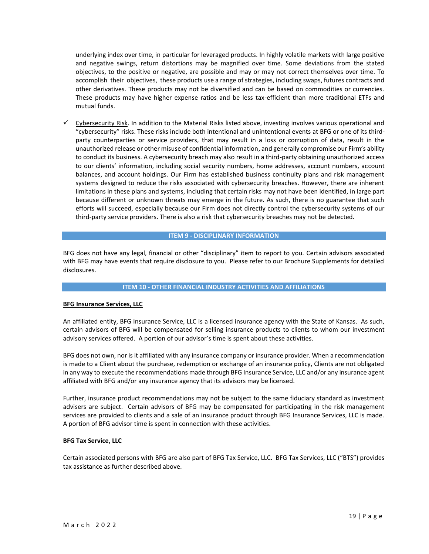underlying index over time, in particular for leveraged products. In highly volatile markets with large positive and negative swings, return distortions may be magnified over time. Some deviations from the stated objectives, to the positive or negative, are possible and may or may not correct themselves over time. To accomplish their objectives, these products use a range of strategies, including swaps, futures contracts and other derivatives. These products may not be diversified and can be based on commodities or currencies. These products may have higher expense ratios and be less tax-efficient than more traditional ETFs and mutual funds.

✓ Cybersecurity Risk. In addition to the Material Risks listed above, investing involves various operational and "cybersecurity" risks. These risks include both intentional and unintentional events at BFG or one of its thirdparty counterparties or service providers, that may result in a loss or corruption of data, result in the unauthorized release or other misuse of confidential information, and generally compromise our Firm's ability to conduct its business. A cybersecurity breach may also result in a third-party obtaining unauthorized access to our clients' information, including social security numbers, home addresses, account numbers, account balances, and account holdings. Our Firm has established business continuity plans and risk management systems designed to reduce the risks associated with cybersecurity breaches. However, there are inherent limitations in these plans and systems, including that certain risks may not have been identified, in large part because different or unknown threats may emerge in the future. As such, there is no guarantee that such efforts will succeed, especially because our Firm does not directly control the cybersecurity systems of our third-party service providers. There is also a risk that cybersecurity breaches may not be detected.

### **ITEM 9 - DISCIPLINARY INFORMATION**

BFG does not have any legal, financial or other "disciplinary" item to report to you. Certain advisors associated with BFG may have events that require disclosure to you. Please refer to our Brochure Supplements for detailed disclosures.

#### **ITEM 10 - OTHER FINANCIAL INDUSTRY ACTIVITIES AND AFFILIATIONS**

#### **BFG Insurance Services, LLC**

An affiliated entity, BFG Insurance Service, LLC is a licensed insurance agency with the State of Kansas. As such, certain advisors of BFG will be compensated for selling insurance products to clients to whom our investment advisory services offered. A portion of our advisor's time is spent about these activities.

BFG does not own, nor is it affiliated with any insurance company or insurance provider. When a recommendation is made to a Client about the purchase, redemption or exchange of an insurance policy, Clients are not obligated in any way to execute the recommendations made through BFG Insurance Service, LLC and/or any insurance agent affiliated with BFG and/or any insurance agency that its advisors may be licensed.

Further, insurance product recommendations may not be subject to the same fiduciary standard as investment advisers are subject. Certain advisors of BFG may be compensated for participating in the risk management services are provided to clients and a sale of an insurance product through BFG Insurance Services, LLC is made. A portion of BFG advisor time is spent in connection with these activities.

#### **BFG Tax Service, LLC**

Certain associated persons with BFG are also part of BFG Tax Service, LLC. BFG Tax Services, LLC ("BTS") provides tax assistance as further described above.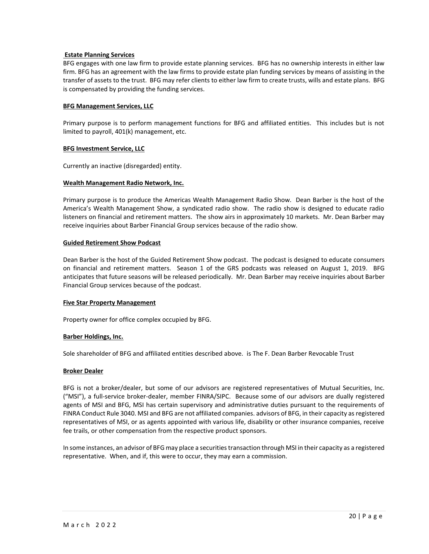### **Estate Planning Services**

BFG engages with one law firm to provide estate planning services. BFG has no ownership interests in either law firm. BFG has an agreement with the law firms to provide estate plan funding services by means of assisting in the transfer of assets to the trust. BFG may refer clients to either law firm to create trusts, wills and estate plans. BFG is compensated by providing the funding services.

### **BFG Management Services, LLC**

Primary purpose is to perform management functions for BFG and affiliated entities. This includes but is not limited to payroll, 401(k) management, etc.

### **BFG Investment Service, LLC**

Currently an inactive (disregarded) entity.

### **Wealth Management Radio Network, Inc.**

Primary purpose is to produce the Americas Wealth Management Radio Show. Dean Barber is the host of the America's Wealth Management Show, a syndicated radio show. The radio show is designed to educate radio listeners on financial and retirement matters. The show airs in approximately 10 markets. Mr. Dean Barber may receive inquiries about Barber Financial Group services because of the radio show.

#### **Guided Retirement Show Podcast**

Dean Barber is the host of the Guided Retirement Show podcast. The podcast is designed to educate consumers on financial and retirement matters. Season 1 of the GRS podcasts was released on August 1, 2019. BFG anticipates that future seasons will be released periodically. Mr. Dean Barber may receive inquiries about Barber Financial Group services because of the podcast.

#### **Five Star Property Management**

Property owner for office complex occupied by BFG.

## **Barber Holdings, Inc.**

Sole shareholder of BFG and affiliated entities described above. is The F. Dean Barber Revocable Trust

#### **Broker Dealer**

BFG is not a broker/dealer, but some of our advisors are registered representatives of Mutual Securities, Inc. ("MSI"), a full-service broker-dealer, member FINRA/SIPC. Because some of our advisors are dually registered agents of MSI and BFG, MSI has certain supervisory and administrative duties pursuant to the requirements of FINRA Conduct Rule 3040. MSI and BFG are not affiliated companies. advisors of BFG, in their capacity as registered representatives of MSI, or as agents appointed with various life, disability or other insurance companies, receive fee trails, or other compensation from the respective product sponsors.

In some instances, an advisor of BFG may place a securities transaction through MSI in their capacity as a registered representative. When, and if, this were to occur, they may earn a commission.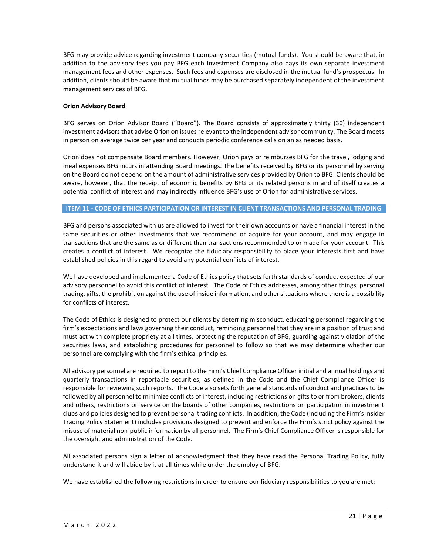BFG may provide advice regarding investment company securities (mutual funds). You should be aware that, in addition to the advisory fees you pay BFG each Investment Company also pays its own separate investment management fees and other expenses. Such fees and expenses are disclosed in the mutual fund's prospectus. In addition, clients should be aware that mutual funds may be purchased separately independent of the investment management services of BFG.

### **Orion Advisory Board**

BFG serves on Orion Advisor Board ("Board"). The Board consists of approximately thirty (30) independent investment advisors that advise Orion on issues relevant to the independent advisor community. The Board meets in person on average twice per year and conducts periodic conference calls on an as needed basis.

Orion does not compensate Board members. However, Orion pays or reimburses BFG for the travel, lodging and meal expenses BFG incurs in attending Board meetings. The benefits received by BFG or its personnel by serving on the Board do not depend on the amount of administrative services provided by Orion to BFG. Clients should be aware, however, that the receipt of economic benefits by BFG or its related persons in and of itself creates a potential conflict of interest and may indirectly influence BFG's use of Orion for administrative services.

#### **ITEM 11 - CODE OF ETHICS PARTICIPATION OR INTEREST IN CLIENT TRANSACTIONS AND PERSONAL TRADING**

BFG and persons associated with us are allowed to invest for their own accounts or have a financial interest in the same securities or other investments that we recommend or acquire for your account, and may engage in transactions that are the same as or different than transactions recommended to or made for your account. This creates a conflict of interest. We recognize the fiduciary responsibility to place your interests first and have established policies in this regard to avoid any potential conflicts of interest.

We have developed and implemented a Code of Ethics policy that sets forth standards of conduct expected of our advisory personnel to avoid this conflict of interest. The Code of Ethics addresses, among other things, personal trading, gifts, the prohibition against the use of inside information, and other situations where there is a possibility for conflicts of interest.

The Code of Ethics is designed to protect our clients by deterring misconduct, educating personnel regarding the firm's expectations and laws governing their conduct, reminding personnel that they are in a position of trust and must act with complete propriety at all times, protecting the reputation of BFG, guarding against violation of the securities laws, and establishing procedures for personnel to follow so that we may determine whether our personnel are complying with the firm's ethical principles.

All advisory personnel are required to report to the Firm's Chief Compliance Officer initial and annual holdings and quarterly transactions in reportable securities, as defined in the Code and the Chief Compliance Officer is responsible for reviewing such reports. The Code also sets forth general standards of conduct and practices to be followed by all personnel to minimize conflicts of interest, including restrictions on gifts to or from brokers, clients and others, restrictions on service on the boards of other companies, restrictions on participation in investment clubs and policies designed to prevent personal trading conflicts. In addition, the Code (including the Firm's Insider Trading Policy Statement) includes provisions designed to prevent and enforce the Firm's strict policy against the misuse of material non-public information by all personnel. The Firm's Chief Compliance Officer is responsible for the oversight and administration of the Code.

All associated persons sign a letter of acknowledgment that they have read the Personal Trading Policy, fully understand it and will abide by it at all times while under the employ of BFG.

We have established the following restrictions in order to ensure our fiduciary responsibilities to you are met: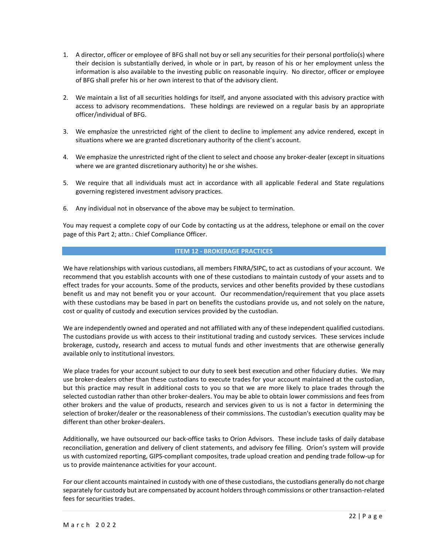- 1. A director, officer or employee of BFG shall not buy or sell any securities for their personal portfolio(s) where their decision is substantially derived, in whole or in part, by reason of his or her employment unless the information is also available to the investing public on reasonable inquiry. No director, officer or employee of BFG shall prefer his or her own interest to that of the advisory client.
- 2. We maintain a list of all securities holdings for itself, and anyone associated with this advisory practice with access to advisory recommendations. These holdings are reviewed on a regular basis by an appropriate officer/individual of BFG.
- 3. We emphasize the unrestricted right of the client to decline to implement any advice rendered, except in situations where we are granted discretionary authority of the client's account.
- 4. We emphasize the unrestricted right of the client to select and choose any broker-dealer (except in situations where we are granted discretionary authority) he or she wishes.
- 5. We require that all individuals must act in accordance with all applicable Federal and State regulations governing registered investment advisory practices.
- 6. Any individual not in observance of the above may be subject to termination.

You may request a complete copy of our Code by contacting us at the address, telephone or email on the cover page of this Part 2; attn.: Chief Compliance Officer.

### **ITEM 12 - BROKERAGE PRACTICES**

We have relationships with various custodians, all members FINRA/SIPC, to act as custodians of your account. We recommend that you establish accounts with one of these custodians to maintain custody of your assets and to effect trades for your accounts. Some of the products, services and other benefits provided by these custodians benefit us and may not benefit you or your account. Our recommendation/requirement that you place assets with these custodians may be based in part on benefits the custodians provide us, and not solely on the nature, cost or quality of custody and execution services provided by the custodian.

We are independently owned and operated and not affiliated with any of these independent qualified custodians. The custodians provide us with access to their institutional trading and custody services. These services include brokerage, custody, research and access to mutual funds and other investments that are otherwise generally available only to institutional investors.

We place trades for your account subject to our duty to seek best execution and other fiduciary duties. We may use broker-dealers other than these custodians to execute trades for your account maintained at the custodian, but this practice may result in additional costs to you so that we are more likely to place trades through the selected custodian rather than other broker-dealers. You may be able to obtain lower commissions and fees from other brokers and the value of products, research and services given to us is not a factor in determining the selection of broker/dealer or the reasonableness of their commissions. The custodian's execution quality may be different than other broker-dealers.

Additionally, we have outsourced our back-office tasks to Orion Advisors. These include tasks of daily database reconciliation, generation and delivery of client statements, and advisory fee filling. Orion's system will provide us with customized reporting, GIPS-compliant composites, trade upload creation and pending trade follow-up for us to provide maintenance activities for your account.

For our client accounts maintained in custody with one of these custodians, the custodians generally do not charge separately for custody but are compensated by account holders through commissions or other transaction-related fees for securities trades.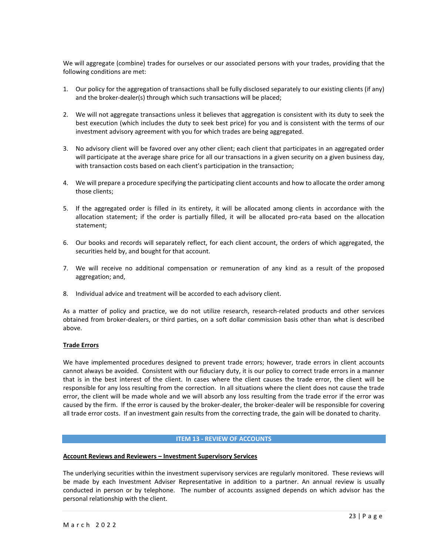We will aggregate (combine) trades for ourselves or our associated persons with your trades, providing that the following conditions are met:

- 1. Our policy for the aggregation of transactions shall be fully disclosed separately to our existing clients (if any) and the broker-dealer(s) through which such transactions will be placed;
- 2. We will not aggregate transactions unless it believes that aggregation is consistent with its duty to seek the best execution (which includes the duty to seek best price) for you and is consistent with the terms of our investment advisory agreement with you for which trades are being aggregated.
- 3. No advisory client will be favored over any other client; each client that participates in an aggregated order will participate at the average share price for all our transactions in a given security on a given business day, with transaction costs based on each client's participation in the transaction;
- 4. We will prepare a procedure specifying the participating client accounts and how to allocate the order among those clients;
- 5. If the aggregated order is filled in its entirety, it will be allocated among clients in accordance with the allocation statement; if the order is partially filled, it will be allocated pro-rata based on the allocation statement;
- 6. Our books and records will separately reflect, for each client account, the orders of which aggregated, the securities held by, and bought for that account.
- 7. We will receive no additional compensation or remuneration of any kind as a result of the proposed aggregation; and,
- 8. Individual advice and treatment will be accorded to each advisory client.

As a matter of policy and practice, we do not utilize research, research-related products and other services obtained from broker-dealers, or third parties, on a soft dollar commission basis other than what is described above.

## **Trade Errors**

We have implemented procedures designed to prevent trade errors; however, trade errors in client accounts cannot always be avoided. Consistent with our fiduciary duty, it is our policy to correct trade errors in a manner that is in the best interest of the client. In cases where the client causes the trade error, the client will be responsible for any loss resulting from the correction. In all situations where the client does not cause the trade error, the client will be made whole and we will absorb any loss resulting from the trade error if the error was caused by the firm. If the error is caused by the broker-dealer, the broker-dealer will be responsible for covering all trade error costs. If an investment gain results from the correcting trade, the gain will be donated to charity.

#### **ITEM 13 - REVIEW OF ACCOUNTS**

#### **Account Reviews and Reviewers – Investment Supervisory Services**

The underlying securities within the investment supervisory services are regularly monitored. These reviews will be made by each Investment Adviser Representative in addition to a partner. An annual review is usually conducted in person or by telephone. The number of accounts assigned depends on which advisor has the personal relationship with the client.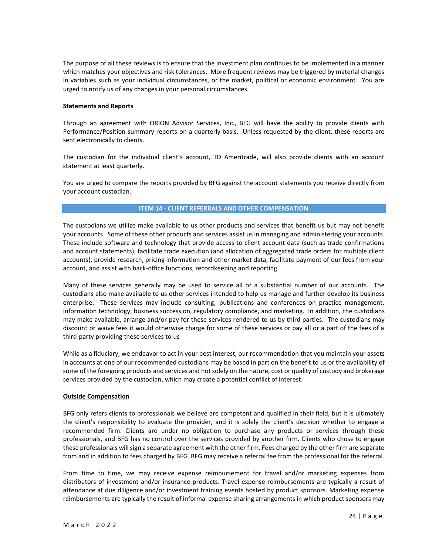The purpose of all these reviews is to ensure that the investment plan continues to be implemented in a manner which matches your objectives and risk tolerances. More frequent reviews may be triggered by material changes in variables such as your individual circumstances, or the market, political or economic environment. You are urged to notify us of any changes in your personal circumstances.

### **Statements and Reports**

Through an agreement with ORION Advisor Services, Inc., BFG will have the ability to provide clients with Performance/Position summary reports on a quarterly basis. Unless requested by the client, these reports are sent electronically to clients.

The custodian for the individual client's account, TD Ameritrade, will also provide clients with an account statement at least quarterly.

You are urged to compare the reports provided by BFG against the account statements you receive directly from your account custodian.

### **ITEM 14 - CLIENT REFERRALS AND OTHER COMPENSATION**

The custodians we utilize make available to us other products and services that benefit us but may not benefit your accounts. Some of these other products and services assist us in managing and administering your accounts. These include software and technology that provide access to client account data (such as trade confirmations and account statements), facilitate trade execution (and allocation of aggregated trade orders for multiple client accounts), provide research, pricing information and other market data, facilitate payment of our fees from your account, and assist with back-office functions, recordkeeping and reporting.

Many of these services generally may be used to service all or a substantial number of our accounts. The custodians also make available to us other services intended to help us manage and further develop its business enterprise. These services may include consulting, publications and conferences on practice management, information technology, business succession, regulatory compliance, and marketing. In addition, the custodians may make available, arrange and/or pay for these services rendered to us by third parties. The custodians may discount or waive fees it would otherwise charge for some of these services or pay all or a part of the fees of a third-party providing these services to us

While as a fiduciary, we endeavor to act in your best interest, our recommendation that you maintain your assets in accounts at one of our recommended custodians may be based in part on the benefit to us or the availability of some of the foregoing products and services and not solely on the nature, cost or quality of custody and brokerage services provided by the custodian, which may create a potential conflict of interest.

#### **Outside Compensation**

BFG only refers clients to professionals we believe are competent and qualified in their field, but it is ultimately the client's responsibility to evaluate the provider, and it is solely the client's decision whether to engage a recommended firm. Clients are under no obligation to purchase any products or services through these professionals, and BFG has no control over the services provided by another firm. Clients who chose to engage these professionals will sign a separate agreement with the other firm. Fees charged by the other firm are separate from and in addition to fees charged by BFG. BFG may receive a referral fee from the professional for the referral.

From time to time, we may receive expense reimbursement for travel and/or marketing expenses from distributors of investment and/or insurance products. Travel expense reimbursements are typically a result of attendance at due diligence and/or investment training events hosted by product sponsors. Marketing expense reimbursements are typically the result of informal expense sharing arrangements in which product sponsors may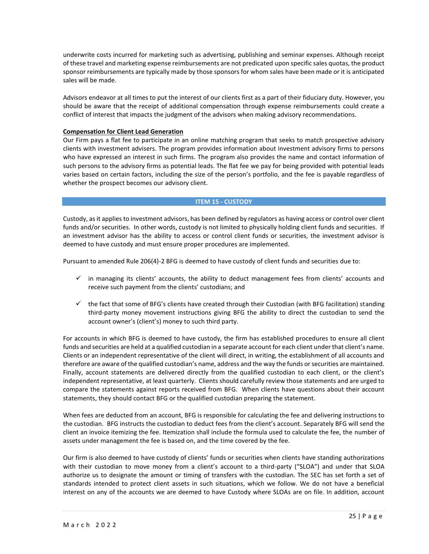underwrite costs incurred for marketing such as advertising, publishing and seminar expenses. Although receipt of these travel and marketing expense reimbursements are not predicated upon specific sales quotas, the product sponsor reimbursements are typically made by those sponsors for whom sales have been made or it is anticipated sales will be made.

Advisors endeavor at all times to put the interest of our clients first as a part of their fiduciary duty. However, you should be aware that the receipt of additional compensation through expense reimbursements could create a conflict of interest that impacts the judgment of the advisors when making advisory recommendations.

## **Compensation for Client Lead Generation**

Our Firm pays a flat fee to participate in an online matching program that seeks to match prospective advisory clients with investment advisers. The program provides information about investment advisory firms to persons who have expressed an interest in such firms. The program also provides the name and contact information of such persons to the advisory firms as potential leads. The flat fee we pay for being provided with potential leads varies based on certain factors, including the size of the person's portfolio, and the fee is payable regardless of whether the prospect becomes our advisory client.

### **ITEM 15 - CUSTODY**

Custody, as it applies to investment advisors, has been defined by regulators as having access or control over client funds and/or securities. In other words, custody is not limited to physically holding client funds and securities. If an investment advisor has the ability to access or control client funds or securities, the investment advisor is deemed to have custody and must ensure proper procedures are implemented.

Pursuant to amended Rule 206(4)-2 BFG is deemed to have custody of client funds and securities due to:

- $\checkmark$  in managing its clients' accounts, the ability to deduct management fees from clients' accounts and receive such payment from the clients' custodians; and
- ✓ the fact that some of BFG's clients have created through their Custodian (with BFG facilitation) standing third-party money movement instructions giving BFG the ability to direct the custodian to send the account owner's (client's) money to such third party.

For accounts in which BFG is deemed to have custody, the firm has established procedures to ensure all client funds and securities are held at a qualified custodian in a separate account for each client under that client's name. Clients or an independent representative of the client will direct, in writing, the establishment of all accounts and therefore are aware of the qualified custodian's name, address and the way the funds or securities are maintained. Finally, account statements are delivered directly from the qualified custodian to each client, or the client's independent representative, at least quarterly. Clients should carefully review those statements and are urged to compare the statements against reports received from BFG. When clients have questions about their account statements, they should contact BFG or the qualified custodian preparing the statement.

When fees are deducted from an account, BFG is responsible for calculating the fee and delivering instructions to the custodian. BFG instructs the custodian to deduct fees from the client's account. Separately BFG will send the client an invoice itemizing the fee. Itemization shall include the formula used to calculate the fee, the number of assets under management the fee is based on, and the time covered by the fee.

Our firm is also deemed to have custody of clients' funds or securities when clients have standing authorizations with their custodian to move money from a client's account to a third-party ("SLOA") and under that SLOA authorize us to designate the amount or timing of transfers with the custodian. The SEC has set forth a set of standards intended to protect client assets in such situations, which we follow. We do not have a beneficial interest on any of the accounts we are deemed to have Custody where SLOAs are on file. In addition, account